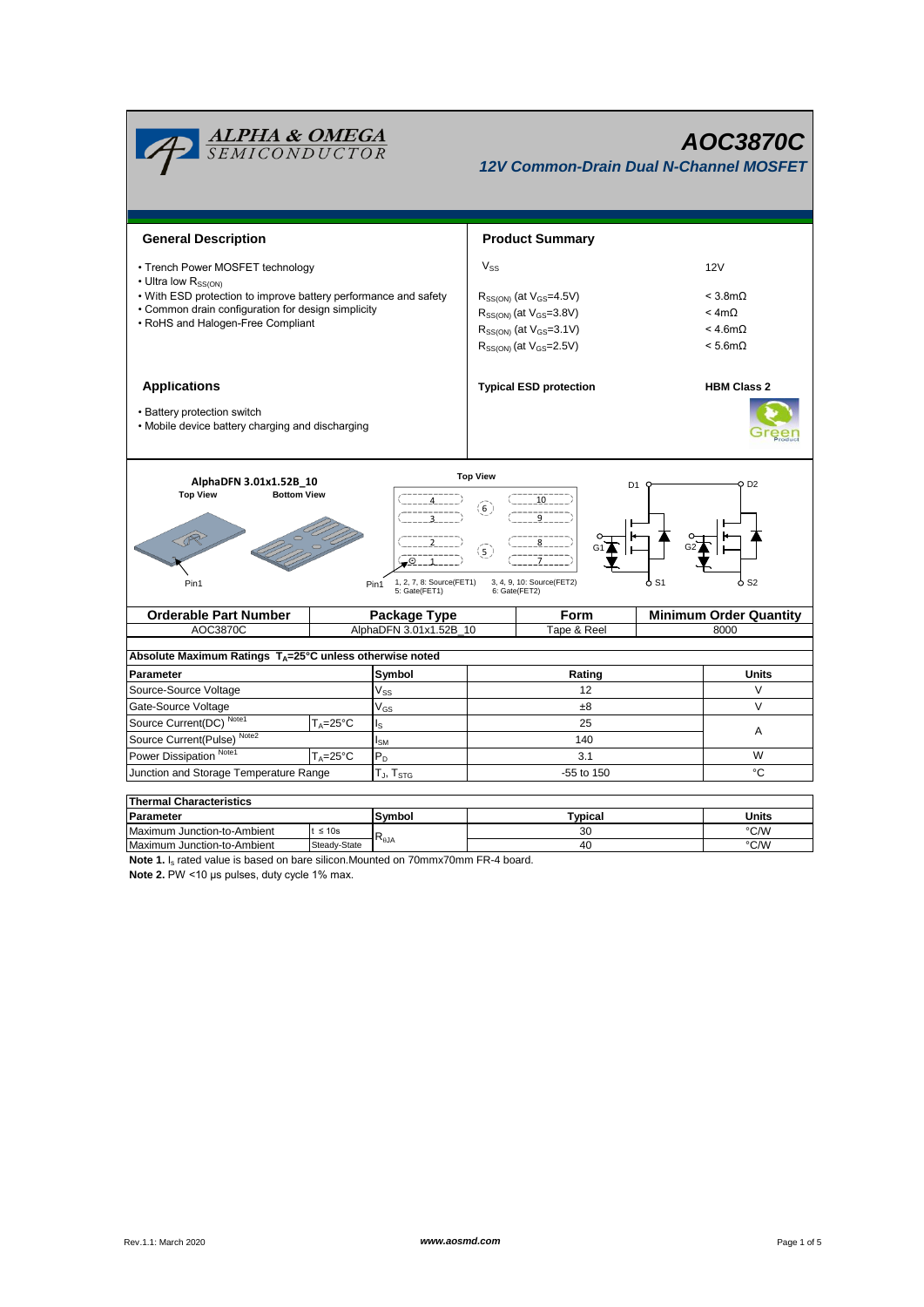

40

Steady-St

**Note 1.** I<sub>s</sub> rated value is based on bare silicon.Mounted on 70mmx70mm FR-4 board.

**Note 2.** PW <10 μs pulses, duty cycle 1% max.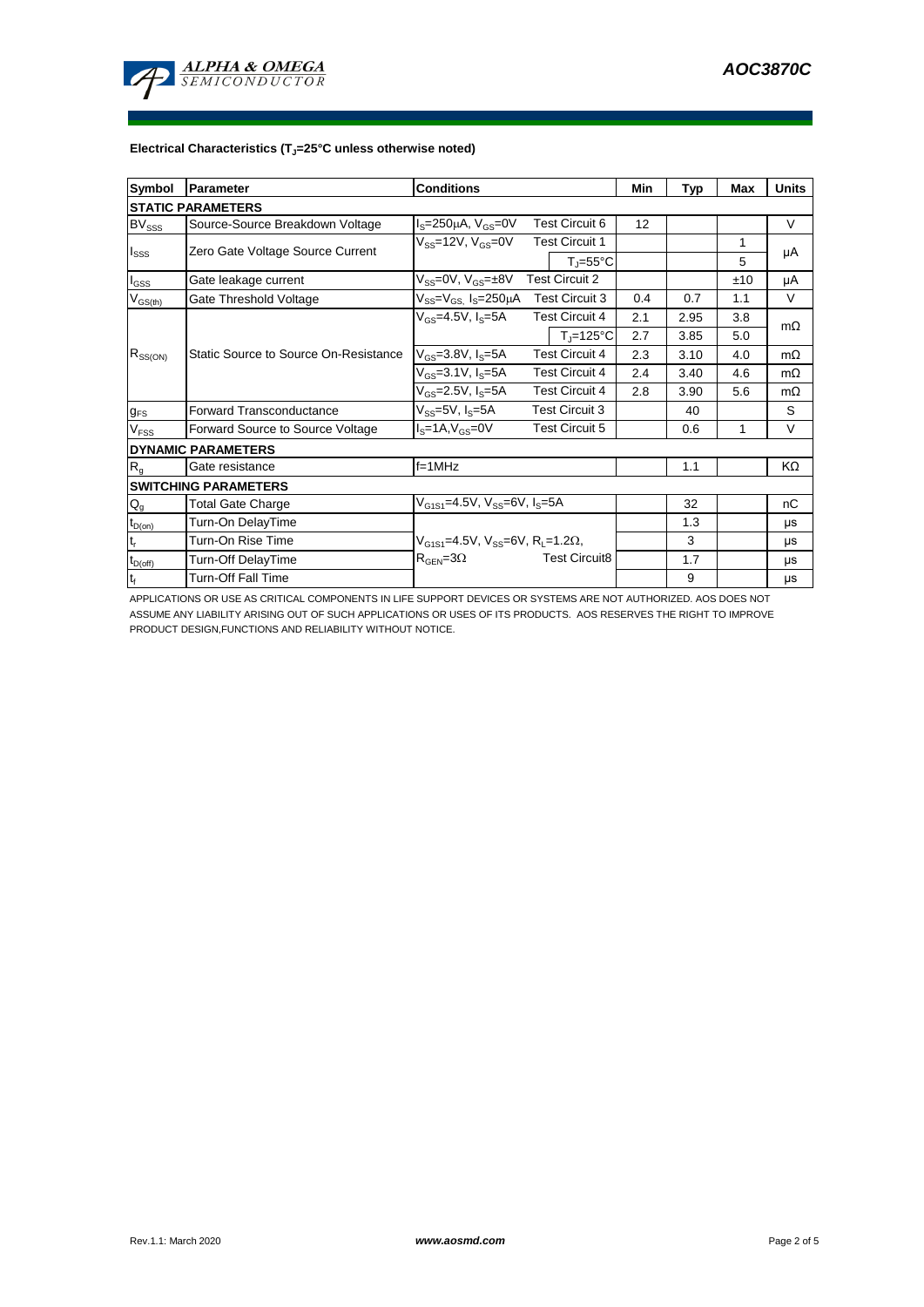

## **Electrical Characteristics (TJ=25°C unless otherwise noted)**

| Symbol                      | Parameter                             | <b>Conditions</b>                                       |                       |                       | Min | <b>Typ</b> | Max | <b>Units</b> |
|-----------------------------|---------------------------------------|---------------------------------------------------------|-----------------------|-----------------------|-----|------------|-----|--------------|
| <b>STATIC PARAMETERS</b>    |                                       |                                                         |                       |                       |     |            |     |              |
| <b>BV</b> <sub>SSS</sub>    | Source-Source Breakdown Voltage       | $I_S = 250 \mu A$ , $V_{GS} = 0V$                       | <b>Test Circuit 6</b> |                       | 12  |            |     | V            |
| $I_{SSS}$                   | Zero Gate Voltage Source Current      | $V_{SS}$ =12V, $V_{GS}$ =0V                             |                       | <b>Test Circuit 1</b> |     |            | 1   | μA           |
|                             |                                       |                                                         |                       | $T_i = 55^{\circ}C$   |     |            | 5   |              |
| $I_{GSS}$                   | Gate leakage current                  | $V_{SS}$ =0V, $V_{GS}$ = $\pm$ 8V                       | <b>Test Circuit 2</b> |                       |     |            | ±10 | μA           |
| $V_{GS$                     | Gate Threshold Voltage                | $V_{SS} = V_{GS}$ , $I_S = 250 \mu A$                   |                       | <b>Test Circuit 3</b> | 0.4 | 0.7        | 1.1 | $\vee$       |
| $R_{SS(ON)}$                | Static Source to Source On-Resistance | $V_{GS}$ =4.5V, $I_S$ =5A                               |                       | <b>Test Circuit 4</b> | 2.1 | 2.95       | 3.8 | $m\Omega$    |
|                             |                                       |                                                         |                       | $T_i = 125^{\circ}C$  | 2.7 | 3.85       | 5.0 |              |
|                             |                                       | $V_{GS} = 3.8 V, I_S = 5A$                              | <b>Test Circuit 4</b> |                       | 2.3 | 3.10       | 4.0 | $m\Omega$    |
|                             |                                       | $V_{GS} = 3.1 V, I_S = 5A$                              | <b>Test Circuit 4</b> |                       | 2.4 | 3.40       | 4.6 | $m\Omega$    |
|                             |                                       | $V_{GS}$ =2.5V, $I_S$ =5A                               | <b>Test Circuit 4</b> |                       | 2.8 | 3.90       | 5.6 | $m\Omega$    |
| $g_{FS}$                    | Forward Transconductance              | $V_{SS} = 5V$ , $I_S = 5A$                              | <b>Test Circuit 3</b> |                       |     | 40         |     | S            |
| V <sub>FSS</sub>            | Forward Source to Source Voltage      | $IS=1A, VGS=0V$                                         |                       | <b>Test Circuit 5</b> |     | 0.6        | 1   | $\vee$       |
| <b>DYNAMIC PARAMETERS</b>   |                                       |                                                         |                       |                       |     |            |     |              |
| R <sub>g</sub>              | Gate resistance                       | $f=1$ MHz                                               |                       |                       |     | 1.1        |     | KΩ           |
| <b>SWITCHING PARAMETERS</b> |                                       |                                                         |                       |                       |     |            |     |              |
| $Q_g$                       | <b>Total Gate Charge</b>              | $V_{G1S1} = 4.5V$ , $V_{SS} = 6V$ , $I_S = 5A$          |                       |                       |     | 32         |     | nC           |
| $t_{D(on)}$                 | Turn-On DelayTime                     |                                                         |                       |                       |     | 1.3        |     | μs           |
| $\mathsf{t}_\mathsf{r}$     | Turn-On Rise Time                     | $V_{G1S1} = 4.5V$ , $V_{SS} = 6V$ , $R_1 = 1.2\Omega$ , |                       |                       |     | 3          |     | μs           |
| $t_{D(off)}$                | <b>Turn-Off DelayTime</b>             | $R_{\text{GEN}} = 3\Omega$                              |                       | <b>Test Circuit8</b>  |     | 1.7        |     | μs           |
| $t_f$                       | <b>Turn-Off Fall Time</b>             |                                                         |                       |                       |     | 9          |     | μs           |

APPLICATIONS OR USE AS CRITICAL COMPONENTS IN LIFE SUPPORT DEVICES OR SYSTEMS ARE NOT AUTHORIZED. AOS DOES NOT ASSUME ANY LIABILITY ARISING OUT OF SUCH APPLICATIONS OR USES OF ITS PRODUCTS. AOS RESERVES THE RIGHT TO IMPROVE PRODUCT DESIGN,FUNCTIONS AND RELIABILITY WITHOUT NOTICE.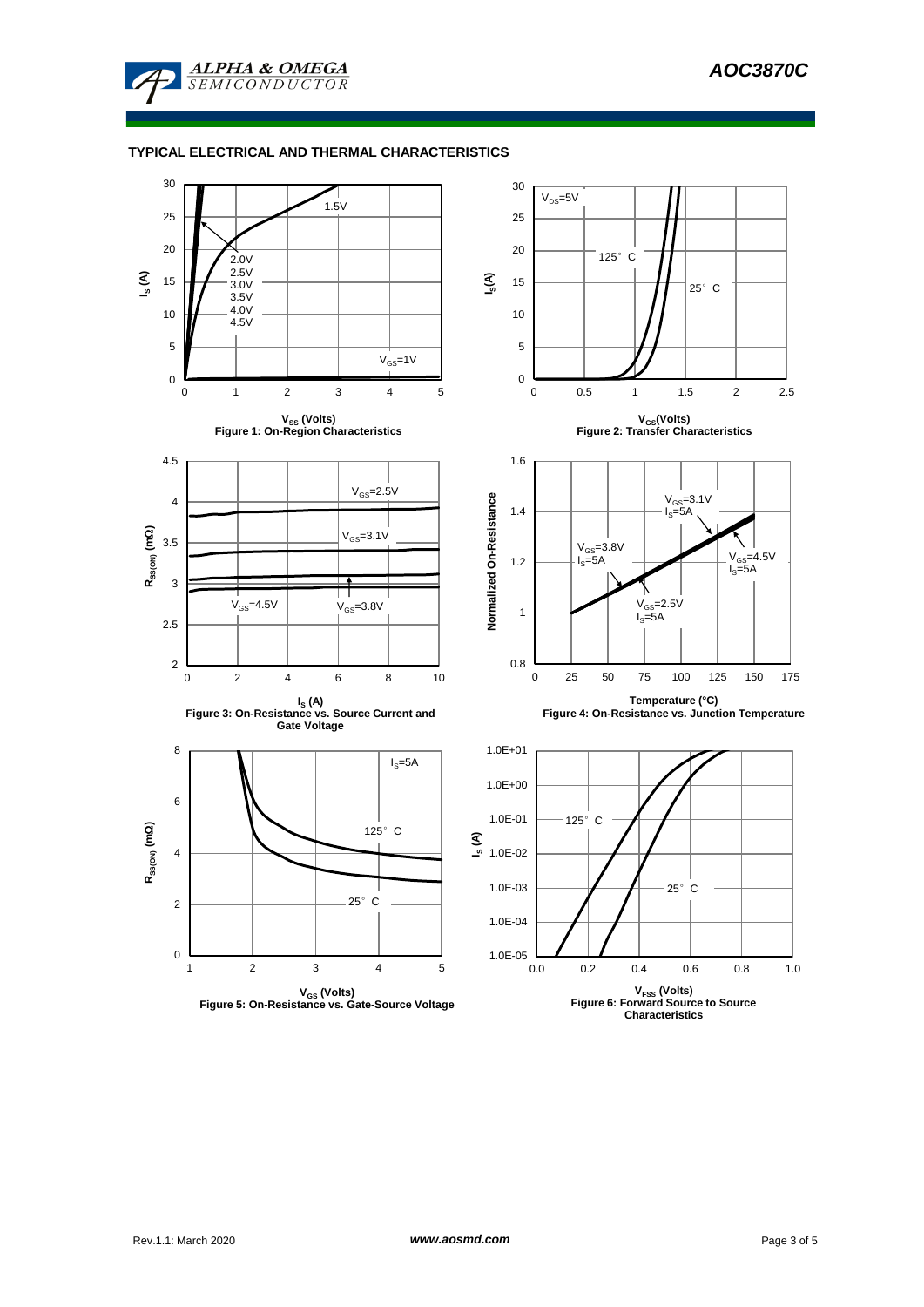

## **TYPICAL ELECTRICAL AND THERMAL CHARACTERISTICS**

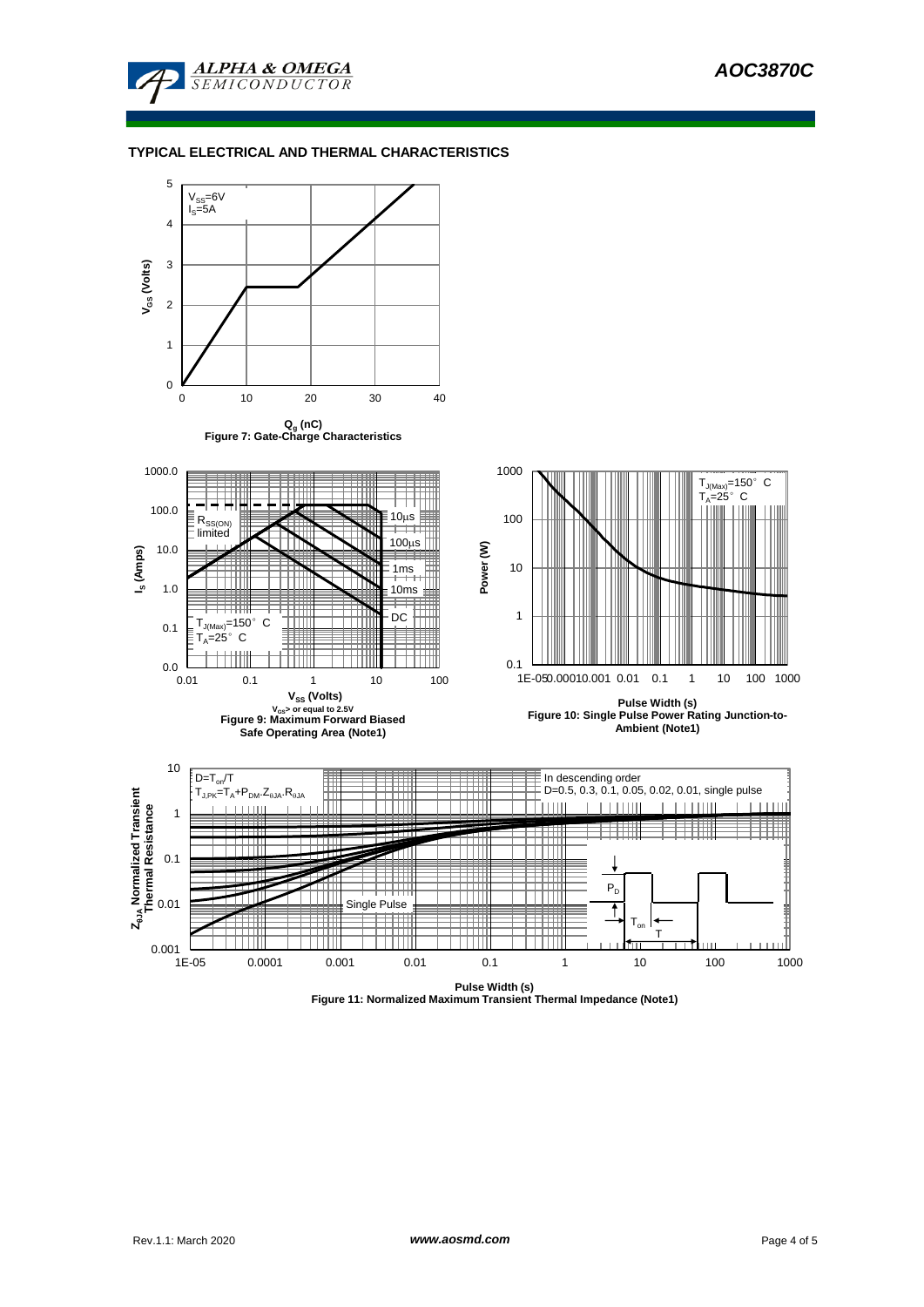

## **TYPICAL ELECTRICAL AND THERMAL CHARACTERISTICS**



**Figure 11: Normalized Maximum Transient Thermal Impedance (Note1)**